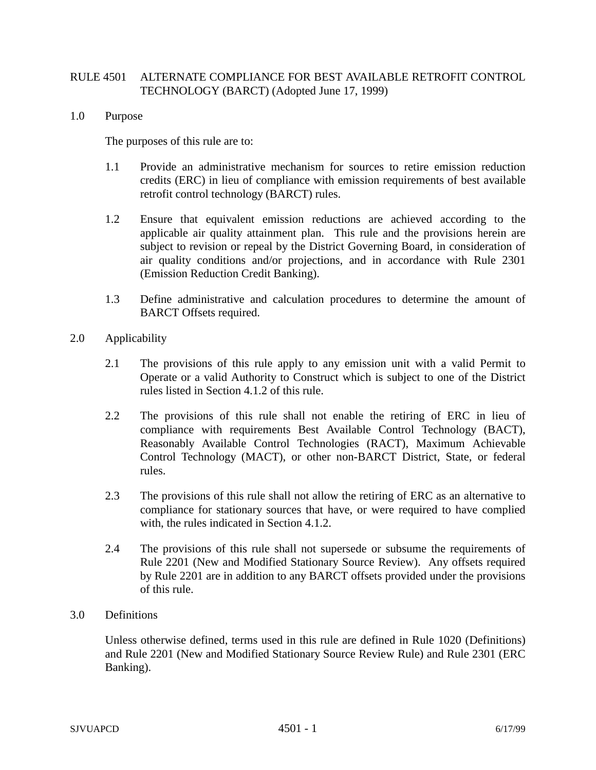## RULE 4501 ALTERNATE COMPLIANCE FOR BEST AVAILABLE RETROFIT CONTROL TECHNOLOGY (BARCT) (Adopted June 17, 1999)

1.0 Purpose

The purposes of this rule are to:

- 1.1 Provide an administrative mechanism for sources to retire emission reduction credits (ERC) in lieu of compliance with emission requirements of best available retrofit control technology (BARCT) rules.
- 1.2 Ensure that equivalent emission reductions are achieved according to the applicable air quality attainment plan. This rule and the provisions herein are subject to revision or repeal by the District Governing Board, in consideration of air quality conditions and/or projections, and in accordance with Rule 2301 (Emission Reduction Credit Banking).
- 1.3 Define administrative and calculation procedures to determine the amount of BARCT Offsets required.
- 2.0 Applicability
	- 2.1 The provisions of this rule apply to any emission unit with a valid Permit to Operate or a valid Authority to Construct which is subject to one of the District rules listed in Section 4.1.2 of this rule.
	- 2.2 The provisions of this rule shall not enable the retiring of ERC in lieu of compliance with requirements Best Available Control Technology (BACT), Reasonably Available Control Technologies (RACT), Maximum Achievable Control Technology (MACT), or other non-BARCT District, State, or federal rules.
	- 2.3 The provisions of this rule shall not allow the retiring of ERC as an alternative to compliance for stationary sources that have, or were required to have complied with, the rules indicated in Section 4.1.2.
	- 2.4 The provisions of this rule shall not supersede or subsume the requirements of Rule 2201 (New and Modified Stationary Source Review). Any offsets required by Rule 2201 are in addition to any BARCT offsets provided under the provisions of this rule.
- 3.0 Definitions

Unless otherwise defined, terms used in this rule are defined in Rule 1020 (Definitions) and Rule 2201 (New and Modified Stationary Source Review Rule) and Rule 2301 (ERC Banking).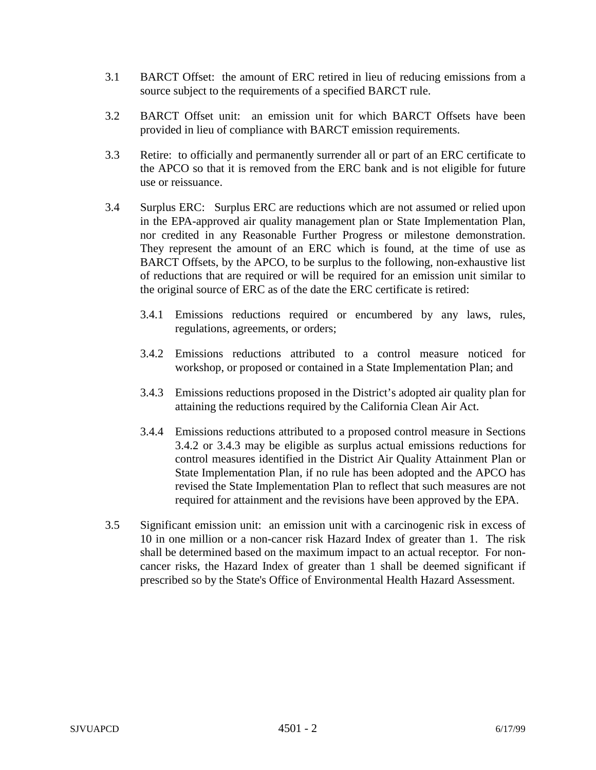- 3.1 BARCT Offset: the amount of ERC retired in lieu of reducing emissions from a source subject to the requirements of a specified BARCT rule.
- 3.2 BARCT Offset unit: an emission unit for which BARCT Offsets have been provided in lieu of compliance with BARCT emission requirements.
- 3.3 Retire: to officially and permanently surrender all or part of an ERC certificate to the APCO so that it is removed from the ERC bank and is not eligible for future use or reissuance.
- 3.4 Surplus ERC: Surplus ERC are reductions which are not assumed or relied upon in the EPA-approved air quality management plan or State Implementation Plan, nor credited in any Reasonable Further Progress or milestone demonstration. They represent the amount of an ERC which is found, at the time of use as BARCT Offsets, by the APCO, to be surplus to the following, non-exhaustive list of reductions that are required or will be required for an emission unit similar to the original source of ERC as of the date the ERC certificate is retired:
	- 3.4.1 Emissions reductions required or encumbered by any laws, rules, regulations, agreements, or orders;
	- 3.4.2 Emissions reductions attributed to a control measure noticed for workshop, or proposed or contained in a State Implementation Plan; and
	- 3.4.3 Emissions reductions proposed in the District's adopted air quality plan for attaining the reductions required by the California Clean Air Act.
	- 3.4.4 Emissions reductions attributed to a proposed control measure in Sections 3.4.2 or 3.4.3 may be eligible as surplus actual emissions reductions for control measures identified in the District Air Quality Attainment Plan or State Implementation Plan, if no rule has been adopted and the APCO has revised the State Implementation Plan to reflect that such measures are not required for attainment and the revisions have been approved by the EPA.
- 3.5 Significant emission unit: an emission unit with a carcinogenic risk in excess of 10 in one million or a non-cancer risk Hazard Index of greater than 1. The risk shall be determined based on the maximum impact to an actual receptor. For noncancer risks, the Hazard Index of greater than 1 shall be deemed significant if prescribed so by the State's Office of Environmental Health Hazard Assessment.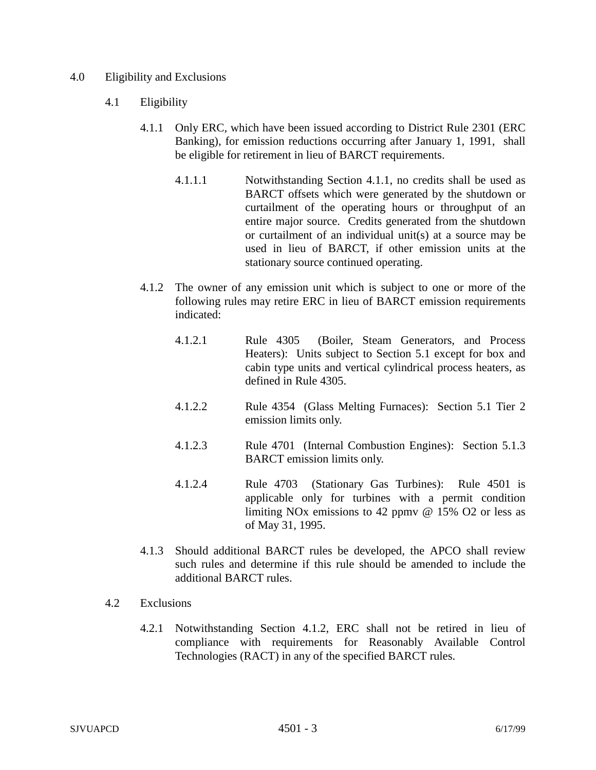## 4.0 Eligibility and Exclusions

- 4.1 Eligibility
	- 4.1.1 Only ERC, which have been issued according to District Rule 2301 (ERC Banking), for emission reductions occurring after January 1, 1991, shall be eligible for retirement in lieu of BARCT requirements.
		- 4.1.1.1 Notwithstanding Section 4.1.1, no credits shall be used as BARCT offsets which were generated by the shutdown or curtailment of the operating hours or throughput of an entire major source. Credits generated from the shutdown or curtailment of an individual unit(s) at a source may be used in lieu of BARCT, if other emission units at the stationary source continued operating.
	- 4.1.2 The owner of any emission unit which is subject to one or more of the following rules may retire ERC in lieu of BARCT emission requirements indicated:
		- 4.1.2.1 Rule 4305 (Boiler, Steam Generators, and Process Heaters): Units subject to Section 5.1 except for box and cabin type units and vertical cylindrical process heaters, as defined in Rule 4305.
		- 4.1.2.2 Rule 4354 (Glass Melting Furnaces): Section 5.1 Tier 2 emission limits only.
		- 4.1.2.3 Rule 4701 (Internal Combustion Engines): Section 5.1.3 BARCT emission limits only.
		- 4.1.2.4 Rule 4703 (Stationary Gas Turbines): Rule 4501 is applicable only for turbines with a permit condition limiting NOx emissions to 42 ppmv @ 15% O2 or less as of May 31, 1995.
	- 4.1.3 Should additional BARCT rules be developed, the APCO shall review such rules and determine if this rule should be amended to include the additional BARCT rules.
- 4.2 Exclusions
	- 4.2.1 Notwithstanding Section 4.1.2, ERC shall not be retired in lieu of compliance with requirements for Reasonably Available Control Technologies (RACT) in any of the specified BARCT rules.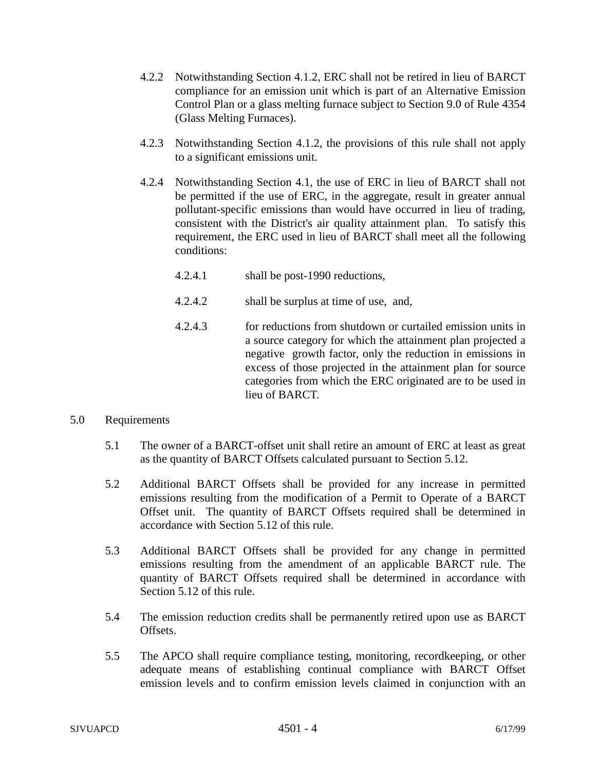- 4.2.2 Notwithstanding Section 4.1.2, ERC shall not be retired in lieu of BARCT compliance for an emission unit which is part of an Alternative Emission Control Plan or a glass melting furnace subject to Section 9.0 of Rule 4354 (Glass Melting Furnaces).
- 4.2.3 Notwithstanding Section 4.1.2, the provisions of this rule shall not apply to a significant emissions unit.
- 4.2.4 Notwithstanding Section 4.1, the use of ERC in lieu of BARCT shall not be permitted if the use of ERC, in the aggregate, result in greater annual pollutant-specific emissions than would have occurred in lieu of trading, consistent with the District's air quality attainment plan. To satisfy this requirement, the ERC used in lieu of BARCT shall meet all the following conditions:
	- 4.2.4.1 shall be post-1990 reductions,
	- 4.2.4.2 shall be surplus at time of use, and,
	- 4.2.4.3 for reductions from shutdown or curtailed emission units in a source category for which the attainment plan projected a negative growth factor, only the reduction in emissions in excess of those projected in the attainment plan for source categories from which the ERC originated are to be used in lieu of BARCT.
- 5.0 Requirements
	- 5.1 The owner of a BARCT-offset unit shall retire an amount of ERC at least as great as the quantity of BARCT Offsets calculated pursuant to Section 5.12.
	- 5.2 Additional BARCT Offsets shall be provided for any increase in permitted emissions resulting from the modification of a Permit to Operate of a BARCT Offset unit. The quantity of BARCT Offsets required shall be determined in accordance with Section 5.12 of this rule.
	- 5.3 Additional BARCT Offsets shall be provided for any change in permitted emissions resulting from the amendment of an applicable BARCT rule. The quantity of BARCT Offsets required shall be determined in accordance with Section 5.12 of this rule.
	- 5.4 The emission reduction credits shall be permanently retired upon use as BARCT Offsets.
	- 5.5 The APCO shall require compliance testing, monitoring, recordkeeping, or other adequate means of establishing continual compliance with BARCT Offset emission levels and to confirm emission levels claimed in conjunction with an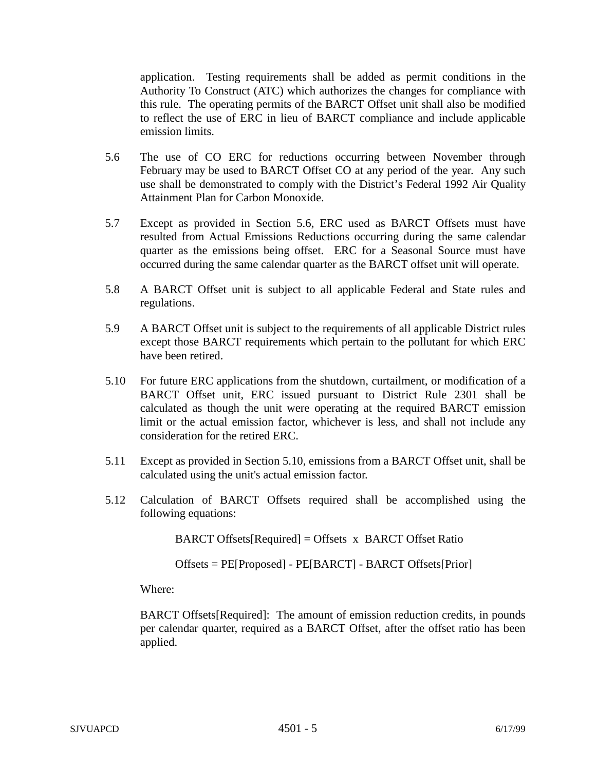application. Testing requirements shall be added as permit conditions in the Authority To Construct (ATC) which authorizes the changes for compliance with this rule. The operating permits of the BARCT Offset unit shall also be modified to reflect the use of ERC in lieu of BARCT compliance and include applicable emission limits.

- 5.6 The use of CO ERC for reductions occurring between November through February may be used to BARCT Offset CO at any period of the year. Any such use shall be demonstrated to comply with the District's Federal 1992 Air Quality Attainment Plan for Carbon Monoxide.
- 5.7 Except as provided in Section 5.6, ERC used as BARCT Offsets must have resulted from Actual Emissions Reductions occurring during the same calendar quarter as the emissions being offset. ERC for a Seasonal Source must have occurred during the same calendar quarter as the BARCT offset unit will operate.
- 5.8 A BARCT Offset unit is subject to all applicable Federal and State rules and regulations.
- 5.9 A BARCT Offset unit is subject to the requirements of all applicable District rules except those BARCT requirements which pertain to the pollutant for which ERC have been retired.
- 5.10 For future ERC applications from the shutdown, curtailment, or modification of a BARCT Offset unit, ERC issued pursuant to District Rule 2301 shall be calculated as though the unit were operating at the required BARCT emission limit or the actual emission factor, whichever is less, and shall not include any consideration for the retired ERC.
- 5.11 Except as provided in Section 5.10, emissions from a BARCT Offset unit, shall be calculated using the unit's actual emission factor.
- 5.12 Calculation of BARCT Offsets required shall be accomplished using the following equations:

BARCT Offsets[Required] = Offsets x BARCT Offset Ratio

Offsets = PE[Proposed] - PE[BARCT] - BARCT Offsets[Prior]

Where:

BARCT Offsets[Required]: The amount of emission reduction credits, in pounds per calendar quarter, required as a BARCT Offset, after the offset ratio has been applied.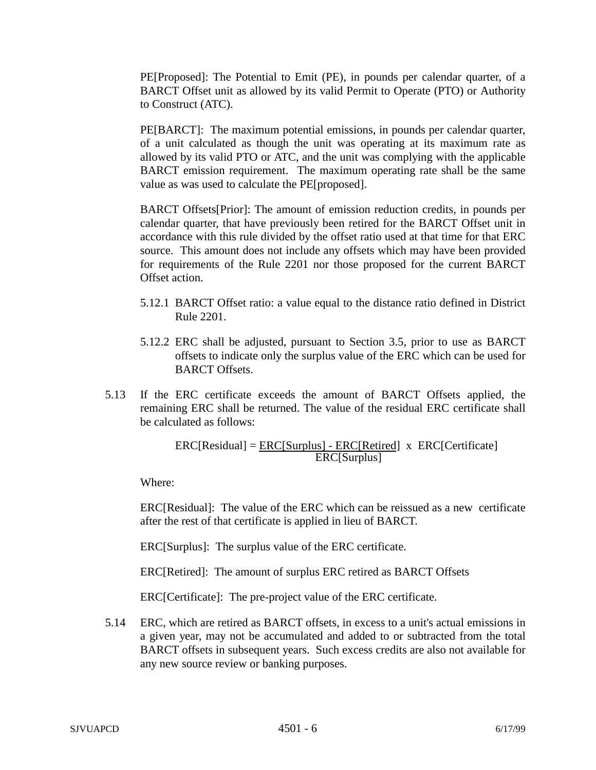PE[Proposed]: The Potential to Emit (PE), in pounds per calendar quarter, of a BARCT Offset unit as allowed by its valid Permit to Operate (PTO) or Authority to Construct (ATC).

PE[BARCT]: The maximum potential emissions, in pounds per calendar quarter, of a unit calculated as though the unit was operating at its maximum rate as allowed by its valid PTO or ATC, and the unit was complying with the applicable BARCT emission requirement. The maximum operating rate shall be the same value as was used to calculate the PE[proposed].

BARCT Offsets[Prior]: The amount of emission reduction credits, in pounds per calendar quarter, that have previously been retired for the BARCT Offset unit in accordance with this rule divided by the offset ratio used at that time for that ERC source. This amount does not include any offsets which may have been provided for requirements of the Rule 2201 nor those proposed for the current BARCT Offset action.

- 5.12.1 BARCT Offset ratio: a value equal to the distance ratio defined in District Rule 2201.
- 5.12.2 ERC shall be adjusted, pursuant to Section 3.5, prior to use as BARCT offsets to indicate only the surplus value of the ERC which can be used for BARCT Offsets.
- 5.13 If the ERC certificate exceeds the amount of BARCT Offsets applied, the remaining ERC shall be returned. The value of the residual ERC certificate shall be calculated as follows:

ERC[Residual] = ERC[Surplus] - ERC[Retired] x ERC[Certificate] ERC[Surplus]

Where:

ERC[Residual]: The value of the ERC which can be reissued as a new certificate after the rest of that certificate is applied in lieu of BARCT.

ERC[Surplus]: The surplus value of the ERC certificate.

ERC[Retired]: The amount of surplus ERC retired as BARCT Offsets

ERC[Certificate]: The pre-project value of the ERC certificate.

5.14 ERC, which are retired as BARCT offsets, in excess to a unit's actual emissions in a given year, may not be accumulated and added to or subtracted from the total BARCT offsets in subsequent years. Such excess credits are also not available for any new source review or banking purposes.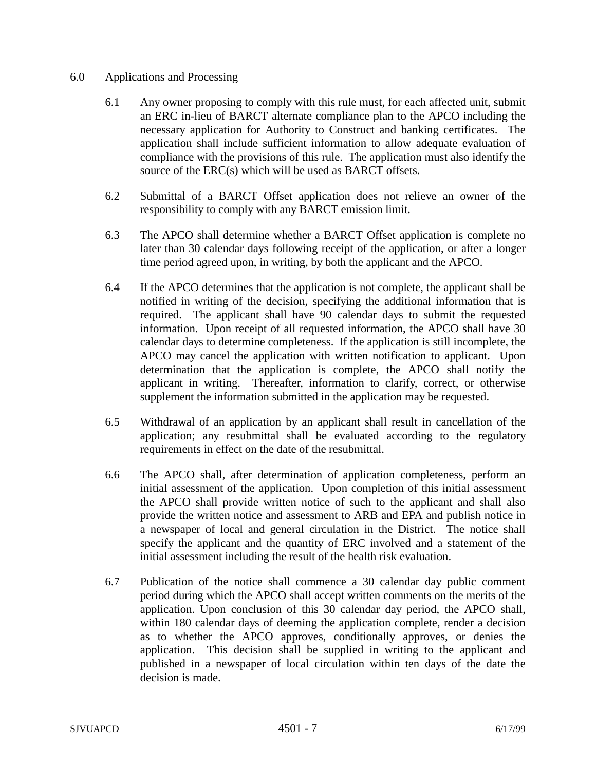## 6.0 Applications and Processing

- 6.1 Any owner proposing to comply with this rule must, for each affected unit, submit an ERC in-lieu of BARCT alternate compliance plan to the APCO including the necessary application for Authority to Construct and banking certificates. The application shall include sufficient information to allow adequate evaluation of compliance with the provisions of this rule. The application must also identify the source of the ERC(s) which will be used as BARCT offsets.
- 6.2 Submittal of a BARCT Offset application does not relieve an owner of the responsibility to comply with any BARCT emission limit.
- 6.3 The APCO shall determine whether a BARCT Offset application is complete no later than 30 calendar days following receipt of the application, or after a longer time period agreed upon, in writing, by both the applicant and the APCO.
- 6.4 If the APCO determines that the application is not complete, the applicant shall be notified in writing of the decision, specifying the additional information that is required. The applicant shall have 90 calendar days to submit the requested information. Upon receipt of all requested information, the APCO shall have 30 calendar days to determine completeness. If the application is still incomplete, the APCO may cancel the application with written notification to applicant. Upon determination that the application is complete, the APCO shall notify the applicant in writing. Thereafter, information to clarify, correct, or otherwise supplement the information submitted in the application may be requested.
- 6.5 Withdrawal of an application by an applicant shall result in cancellation of the application; any resubmittal shall be evaluated according to the regulatory requirements in effect on the date of the resubmittal.
- 6.6 The APCO shall, after determination of application completeness, perform an initial assessment of the application. Upon completion of this initial assessment the APCO shall provide written notice of such to the applicant and shall also provide the written notice and assessment to ARB and EPA and publish notice in a newspaper of local and general circulation in the District. The notice shall specify the applicant and the quantity of ERC involved and a statement of the initial assessment including the result of the health risk evaluation.
- 6.7 Publication of the notice shall commence a 30 calendar day public comment period during which the APCO shall accept written comments on the merits of the application. Upon conclusion of this 30 calendar day period, the APCO shall, within 180 calendar days of deeming the application complete, render a decision as to whether the APCO approves, conditionally approves, or denies the application. This decision shall be supplied in writing to the applicant and published in a newspaper of local circulation within ten days of the date the decision is made.